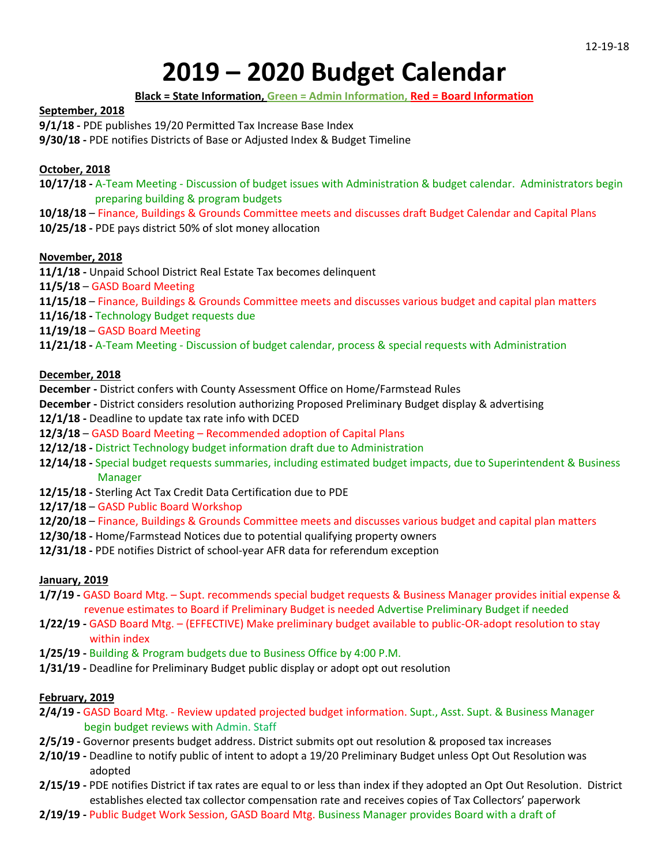# **2019 – 2020 Budget Calendar**

## **Black = State Information, Green = Admin Information, Red = Board Information**

#### **September, 2018**

**9/1/18 -** PDE publishes 19/20 Permitted Tax Increase Base Index

**9/30/18 -** PDE notifies Districts of Base or Adjusted Index & Budget Timeline

# **October, 2018**

- **10/17/18 -** A-Team Meeting Discussion of budget issues with Administration & budget calendar. Administrators begin preparing building & program budgets
- **10/18/18** Finance, Buildings & Grounds Committee meets and discusses draft Budget Calendar and Capital Plans **10/25/18 -** PDE pays district 50% of slot money allocation
- 

# **November, 2018**

- **11/1/18 -** Unpaid School District Real Estate Tax becomes delinquent
- **11/5/18** GASD Board Meeting
- **11/15/18** Finance, Buildings & Grounds Committee meets and discusses various budget and capital plan matters
- **11/16/18 -** Technology Budget requests due
- **11/19/18** GASD Board Meeting

**11/21/18 -** A-Team Meeting - Discussion of budget calendar, process & special requests with Administration

### **December, 2018**

**December -** District confers with County Assessment Office on Home/Farmstead Rules

- **December -** District considers resolution authorizing Proposed Preliminary Budget display & advertising
- **12/1/18 -** Deadline to update tax rate info with DCED
- **12/3/18** GASD Board Meeting Recommended adoption of Capital Plans
- **12/12/18 -** District Technology budget information draft due to Administration
- **12/14/18 -** Special budget requests summaries, including estimated budget impacts, due to Superintendent & Business Manager
- **12/15/18 -** Sterling Act Tax Credit Data Certification due to PDE
- **12/17/18** GASD Public Board Workshop
- **12/20/18** Finance, Buildings & Grounds Committee meets and discusses various budget and capital plan matters
- **12/30/18 -** Home/Farmstead Notices due to potential qualifying property owners
- **12/31/18 -** PDE notifies District of school-year AFR data for referendum exception

# **January, 2019**

- **1/7/19 -** GASD Board Mtg. Supt. recommends special budget requests & Business Manager provides initial expense & revenue estimates to Board if Preliminary Budget is needed Advertise Preliminary Budget if needed
- **1/22/19 -** GASD Board Mtg. (EFFECTIVE) Make preliminary budget available to public-OR-adopt resolution to stay within index
- **1/25/19 -** Building & Program budgets due to Business Office by 4:00 P.M.
- **1/31/19 -** Deadline for Preliminary Budget public display or adopt opt out resolution

# **February, 2019**

- **2/4/19 -** GASD Board Mtg. Review updated projected budget information. Supt., Asst. Supt. & Business Manager begin budget reviews with Admin. Staff
- **2/5/19 -** Governor presents budget address. District submits opt out resolution & proposed tax increases
- **2/10/19 -** Deadline to notify public of intent to adopt a 19/20 Preliminary Budget unless Opt Out Resolution was adopted
- **2/15/19 -** PDE notifies District if tax rates are equal to or less than index if they adopted an Opt Out Resolution. District establishes elected tax collector compensation rate and receives copies of Tax Collectors' paperwork
- **2/19/19 -** Public Budget Work Session, GASD Board Mtg. Business Manager provides Board with a draft of